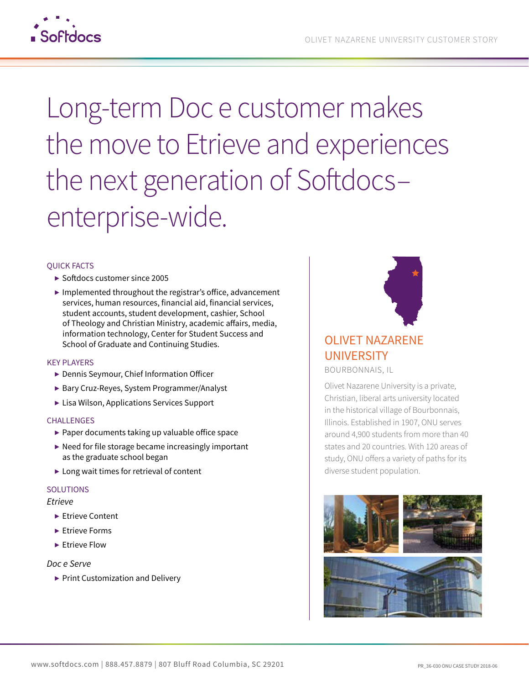

# Long-term Doc e customer makes the move to Etrieve and experiences the next generation of Softdocsenterprise-wide.

#### QUICK FACTS

- ▶ Softdocs customer since 2005
- $\blacktriangleright$  Implemented throughout the registrar's office, advancement services, human resources, financial aid, financial services, student accounts, student development, cashier, School of Theology and Christian Ministry, academic affairs, media, information technology, Center for Student Success and School of Graduate and Continuing Studies.

#### KEY PLAYERS

- ▶ Dennis Seymour, Chief Information Officer
- ▶ Bary Cruz-Reyes, System Programmer/Analyst
- ▶ Lisa Wilson, Applications Services Support

#### **CHALLENGES**

- ▶ Paper documents taking up valuable office space
- $\blacktriangleright$  Need for file storage became increasingly important as the graduate school began
- ▶ Long wait times for retrieval of content

#### SOLUTIONS

#### *Etrieve*

- ▶ Etrieve Content
- ▶ Etrieve Forms
- ▶ Etrieve Flow

#### *Doc e Serve*

▶ Print Customization and Delivery



# OLIVET NAZARENE **UNIVERSITY**

BOURBONNAIS, IL

Olivet Nazarene University is a private, Christian, liberal arts university located in the historical village of Bourbonnais, Illinois. Established in 1907, ONU serves around 4,900 students from more than 40 states and 20 countries. With 120 areas of study, ONU offers a variety of paths for its diverse student population.

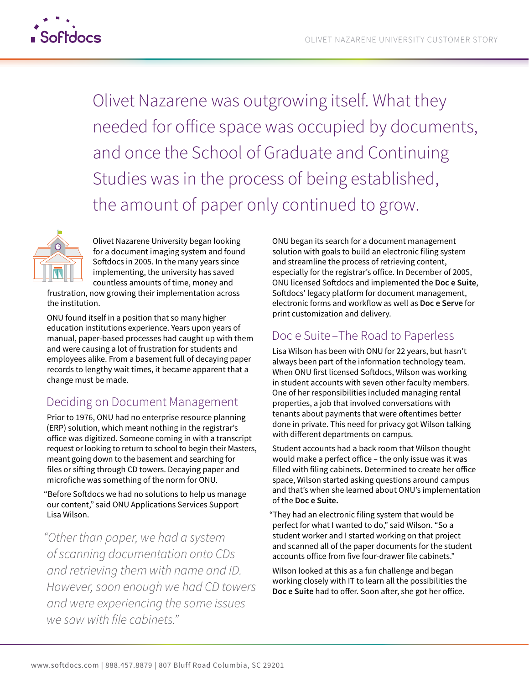

Olivet Nazarene was outgrowing itself. What they needed for ofice space was occupied by documents, and once the School of Graduate and Continuing Studies was in the process of being established, the amount of paper only continued to grow.



Olivet Nazarene University began looking for a document imaging system and found Sofdocs in 2005. In the many years since implementing, the university has saved countless amounts of time, money and

frustration, now growing their implementation across the institution.

ONU found itself in a position that so many higher education institutions experience. Years upon years of manual, paper-based processes had caught up with them and were causing a lot of frustration for students and employees alike. From a basement full of decaying paper records to lengthy wait times, it became apparent that a change must be made.

## Deciding on Document Management

Prior to 1976, ONU had no enterprise resource planning (ERP) solution, which meant nothing in the registrar's ofice was digitized. Someone coming in with a transcript request or looking to return to school to begin their Masters, meant going down to the basement and searching for files or sifing through CD towers. Decaying paper and microfiche was something of the norm for ONU.

"Before Sofdocs we had no solutions to help us manage our content," said ONU Applications Services Support Lisa Wilson.

*"Other than paper, we had a system of scanning documentation onto CDs and retrieving them with name and ID. However, soon enough we had CD towers and were experiencing the same issues we saw with file cabinets."* 

ONU began its search for a document management solution with goals to build an electronic filing system and streamline the process of retrieving content, especially for the registrar's ofice. In December of 2005, ONU licensed Sofdocs and implemented the **Doc e Suite**, Sofdocs' legacy platform for document management, electronic forms and workflow as well as **Doc e Serve** for print customization and delivery.

## Doc e Suite –The Road to Paperless

Lisa Wilson has been with ONU for 22 years, but hasn't always been part of the information technology team. When ONU first licensed Sofdocs, Wilson was working in student accounts with seven other faculty members. One of her responsibilities included managing rental properties, a job that involved conversations with tenants about payments that were oftentimes better done in private. This need for privacy got Wilson talking with diferent departments on campus.

Student accounts had a back room that Wilson thought would make a perfect ofice – the only issue was it was filled with filing cabinets. Determined to create her ofice space, Wilson started asking questions around campus and that's when she learned about ONU's implementation of the **Doc e Suite.** 

"They had an electronic filing system that would be perfect for what I wanted to do," said Wilson. "So a student worker and I started working on that project and scanned all of the paper documents for the student accounts ofice from five four-drawer file cabinets."

Wilson looked at this as a fun challenge and began working closely with IT to learn all the possibilities the **Doc e Suite** had to offer. Soon after, she got her office.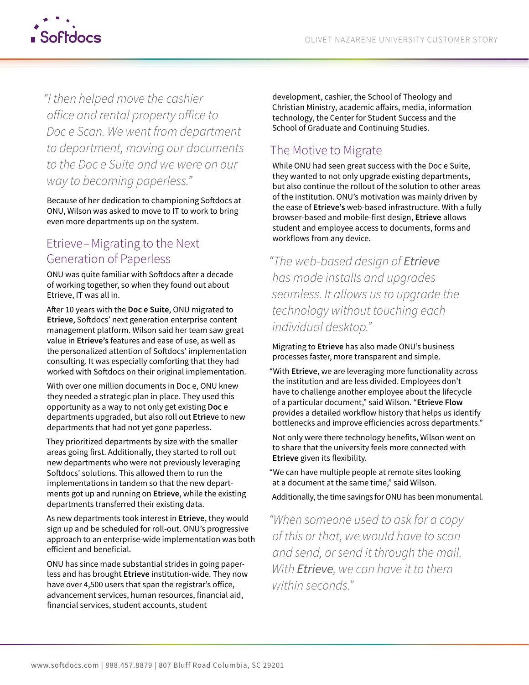

*"I then helped move the cashier ofice and rental property ofice to Doc e Scan. We went from department to department, moving our documents to the Doc e Suite and we were on our way to becoming paperless."* 

Because of her dedication to championing Sofdocs at ONU, Wilson was asked to move to IT to work to bring even more departments up on the system.

## Etrieve– Migrating to the Next Generation of Paperless

ONU was quite familiar with Softdocs after a decade of working together, so when they found out about Etrieve, IT was all in.

Afer 10 years with the **Doc e Suite**, ONU migrated to Etrieve, Softdocs' next generation enterprise content management platform. Wilson said her team saw great value in **Etrieve's** features and ease of use, as well as the personalized attention of Sofdocs' implementation consulting. It was especially comforting that they had worked with Sofdocs on their original implementation.

With over one million documents in Doc e, ONU knew they needed a strategic plan in place. They used this opportunity as a way to not only get existing **Doc e**  departments upgraded, but also roll out **Etriev**e to new departments that had not yet gone paperless.

They prioritized departments by size with the smaller areas going first. Additionally, they started to roll out new departments who were not previously leveraging Sofdocs' solutions. This allowed them to run the implementations in tandem so that the new departments got up and running on **Etrieve**, while the existing departments transferred their existing data.

As new departments took interest in **Etrieve**, they would sign up and be scheduled for roll-out. ONU's progressive approach to an enterprise-wide implementation was both eficient and beneficial.

ONU has since made substantial strides in going paperless and has brought **Etrieve** institution-wide. They now have over 4,500 users that span the registrar's ofice, advancement services, human resources, financial aid, financial services, student accounts, student

development, cashier, the School of Theology and Christian Ministry, academic afairs, media, information technology, the Center for Student Success and the School of Graduate and Continuing Studies.

## The Motive to Migrate

While ONU had seen great success with the Doc e Suite, they wanted to not only upgrade existing departments, but also continue the rollout of the solution to other areas of the institution. ONU's motivation was mainly driven by the ease of **Etrieve's** web-based infrastructure. With a fully browser-based and mobile-first design, **Etrieve** allows student and employee access to documents, forms and workflows from any device.

*"The web-based design of Etrieve has made installs and upgrades seamless. It allows us to upgrade the technology without touching each individual desktop."* 

Migrating to **Etrieve** has also made ONU's business processes faster, more transparent and simple.

"With **Etrieve**, we are leveraging more functionality across the institution and are less divided. Employees don't have to challenge another employee about the lifecycle of a particular document," said Wilson. "**Etrieve Flow**  provides a detailed workflow history that helps us identify bottlenecks and improve eficiencies across departments."

Not only were there technology benefits, Wilson went on to share that the university feels more connected with **Etrieve** given its flexibility.

"We can have multiple people at remote sites looking at a document at the same time," said Wilson.

Additionally, the time savings for ONU has been monumental.

*"When someone used to ask for a copy of this or that, we would have to scan and send, or send it through the mail. With Etrieve, we can have it to them within seconds."*